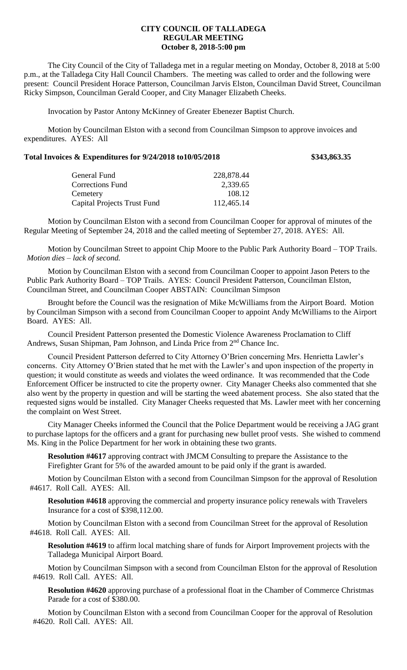## **CITY COUNCIL OF TALLADEGA REGULAR MEETING October 8, 2018-5:00 pm**

The City Council of the City of Talladega met in a regular meeting on Monday, October 8, 2018 at 5:00 p.m., at the Talladega City Hall Council Chambers. The meeting was called to order and the following were present: Council President Horace Patterson, Councilman Jarvis Elston, Councilman David Street, Councilman Ricky Simpson, Councilman Gerald Cooper, and City Manager Elizabeth Cheeks.

Invocation by Pastor Antony McKinney of Greater Ebenezer Baptist Church.

Motion by Councilman Elston with a second from Councilman Simpson to approve invoices and expenditures. AYES: All

## **Total Invoices & Expenditures for 9/24/2018 to10/05/2018 \$343,863.35**

| 228,878.44 |
|------------|
| 2,339.65   |
| 108.12     |
| 112,465.14 |
|            |

Motion by Councilman Elston with a second from Councilman Cooper for approval of minutes of the Regular Meeting of September 24, 2018 and the called meeting of September 27, 2018. AYES: All.

Motion by Councilman Street to appoint Chip Moore to the Public Park Authority Board – TOP Trails. *Motion dies – lack of second.* 

Motion by Councilman Elston with a second from Councilman Cooper to appoint Jason Peters to the Public Park Authority Board – TOP Trails. AYES: Council President Patterson, Councilman Elston, Councilman Street, and Councilman Cooper ABSTAIN: Councilman Simpson

Brought before the Council was the resignation of Mike McWilliams from the Airport Board. Motion by Councilman Simpson with a second from Councilman Cooper to appoint Andy McWilliams to the Airport Board. AYES: All.

Council President Patterson presented the Domestic Violence Awareness Proclamation to Cliff Andrews, Susan Shipman, Pam Johnson, and Linda Price from 2<sup>nd</sup> Chance Inc.

Council President Patterson deferred to City Attorney O'Brien concerning Mrs. Henrietta Lawler's concerns. City Attorney O'Brien stated that he met with the Lawler's and upon inspection of the property in question; it would constitute as weeds and violates the weed ordinance. It was recommended that the Code Enforcement Officer be instructed to cite the property owner. City Manager Cheeks also commented that she also went by the property in question and will be starting the weed abatement process. She also stated that the requested signs would be installed. City Manager Cheeks requested that Ms. Lawler meet with her concerning the complaint on West Street.

City Manager Cheeks informed the Council that the Police Department would be receiving a JAG grant to purchase laptops for the officers and a grant for purchasing new bullet proof vests. She wished to commend Ms. King in the Police Department for her work in obtaining these two grants.

**Resolution #4617** approving contract with JMCM Consulting to prepare the Assistance to the Firefighter Grant for 5% of the awarded amount to be paid only if the grant is awarded.

Motion by Councilman Elston with a second from Councilman Simpson for the approval of Resolution #4617. Roll Call. AYES: All.

**Resolution #4618** approving the commercial and property insurance policy renewals with Travelers Insurance for a cost of \$398,112.00.

Motion by Councilman Elston with a second from Councilman Street for the approval of Resolution #4618. Roll Call. AYES: All.

**Resolution #4619** to affirm local matching share of funds for Airport Improvement projects with the Talladega Municipal Airport Board.

Motion by Councilman Simpson with a second from Councilman Elston for the approval of Resolution #4619. Roll Call. AYES: All.

**Resolution #4620** approving purchase of a professional float in the Chamber of Commerce Christmas Parade for a cost of \$380.00.

Motion by Councilman Elston with a second from Councilman Cooper for the approval of Resolution #4620. Roll Call. AYES: All.